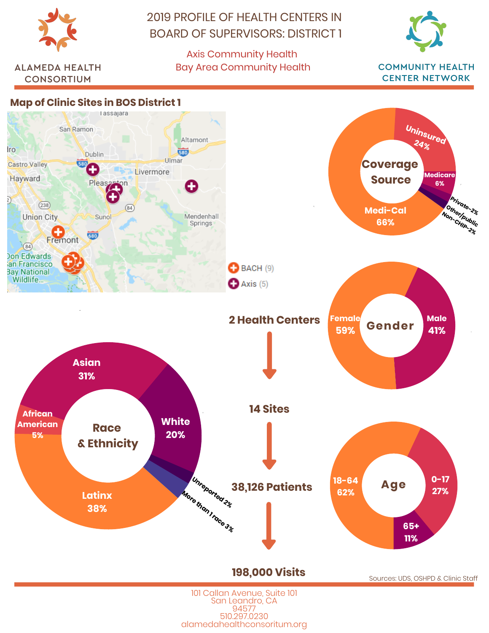

**ALAMEDA HEALTH** 

**CONSORTIUM** 

2019 PROFILE OF HEALTH CENTERS IN BOARD OF SUPERVISORS: DISTRICT 1

> Axis Community Health Bay Area Community Health



**COMMUNITY HEALTH CENTER NETWORK** 

## **Map of Clinic Sites in BOS District 1**